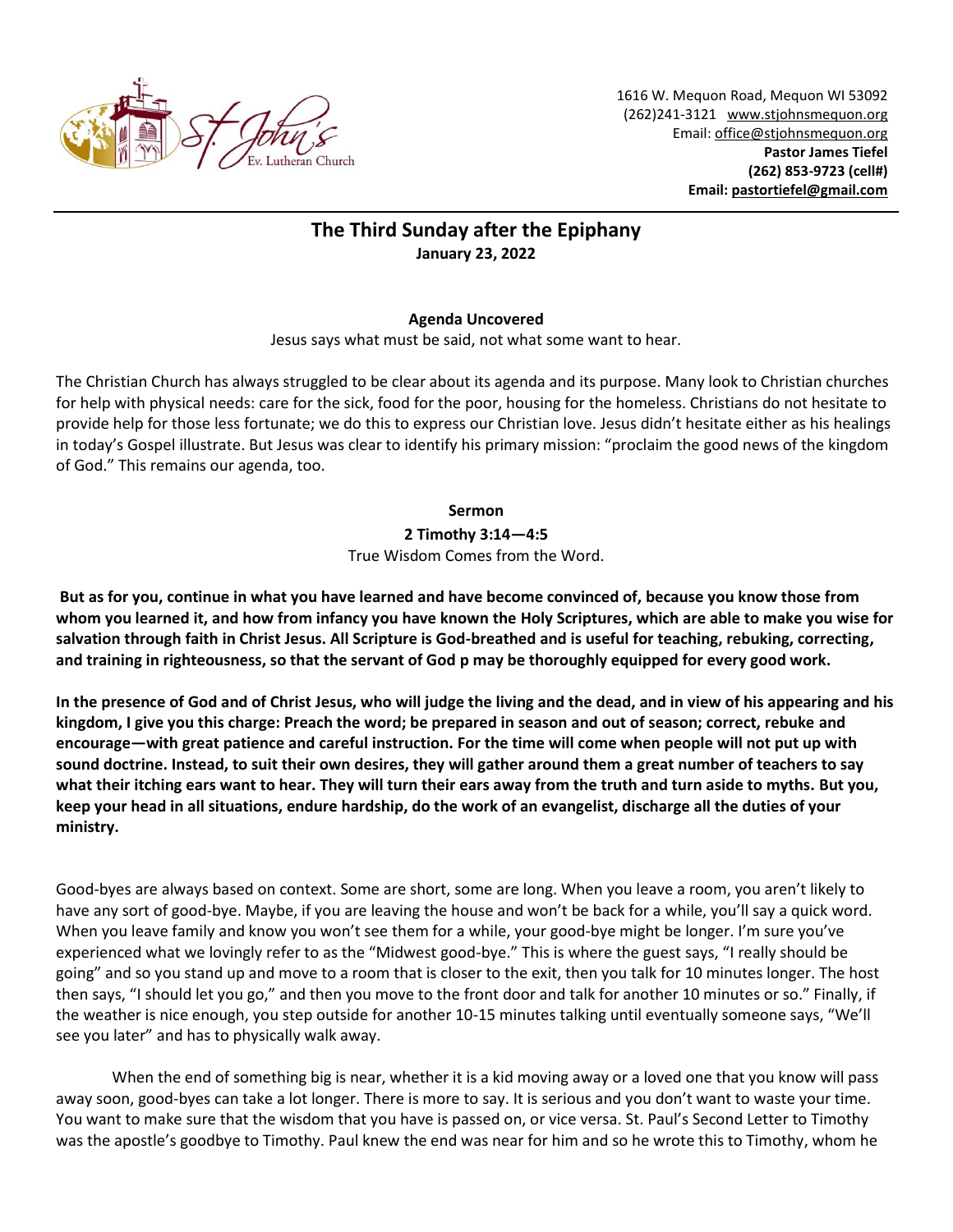

1616 W. Mequon Road, Mequon WI 53092 (262)241-3121 [www.stjohnsmequon.org](http://www.stjohnsmequon.org/) Email[: office@stjohnsmequon.org](mailto:office@stjohnsmequon.org) **Pastor James Tiefel (262) 853-9723 (cell#) Email: [pastortiefel@gmail.com](mailto:pastortiefel@gmail.com)**

## **The Third Sunday after the Epiphany January 23, 2022**

## **Agenda Uncovered**

Jesus says what must be said, not what some want to hear.

The Christian Church has always struggled to be clear about its agenda and its purpose. Many look to Christian churches for help with physical needs: care for the sick, food for the poor, housing for the homeless. Christians do not hesitate to provide help for those less fortunate; we do this to express our Christian love. Jesus didn't hesitate either as his healings in today's Gospel illustrate. But Jesus was clear to identify his primary mission: "proclaim the good news of the kingdom of God." This remains our agenda, too.

## **Sermon**

**2 Timothy 3:14—4:5** True Wisdom Comes from the Word.

**But as for you, continue in what you have learned and have become convinced of, because you know those from whom you learned it, and how from infancy you have known the Holy Scriptures, which are able to make you wise for salvation through faith in Christ Jesus. All Scripture is God-breathed and is useful for teaching, rebuking, correcting, and training in righteousness, so that the servant of God p may be thoroughly equipped for every good work.** 

**In the presence of God and of Christ Jesus, who will judge the living and the dead, and in view of his appearing and his kingdom, I give you this charge: Preach the word; be prepared in season and out of season; correct, rebuke and encourage—with great patience and careful instruction. For the time will come when people will not put up with sound doctrine. Instead, to suit their own desires, they will gather around them a great number of teachers to say what their itching ears want to hear. They will turn their ears away from the truth and turn aside to myths. But you, keep your head in all situations, endure hardship, do the work of an evangelist, discharge all the duties of your ministry.**

Good-byes are always based on context. Some are short, some are long. When you leave a room, you aren't likely to have any sort of good-bye. Maybe, if you are leaving the house and won't be back for a while, you'll say a quick word. When you leave family and know you won't see them for a while, your good-bye might be longer. I'm sure you've experienced what we lovingly refer to as the "Midwest good-bye." This is where the guest says, "I really should be going" and so you stand up and move to a room that is closer to the exit, then you talk for 10 minutes longer. The host then says, "I should let you go," and then you move to the front door and talk for another 10 minutes or so." Finally, if the weather is nice enough, you step outside for another 10-15 minutes talking until eventually someone says, "We'll see you later" and has to physically walk away.

When the end of something big is near, whether it is a kid moving away or a loved one that you know will pass away soon, good-byes can take a lot longer. There is more to say. It is serious and you don't want to waste your time. You want to make sure that the wisdom that you have is passed on, or vice versa. St. Paul's Second Letter to Timothy was the apostle's goodbye to Timothy. Paul knew the end was near for him and so he wrote this to Timothy, whom he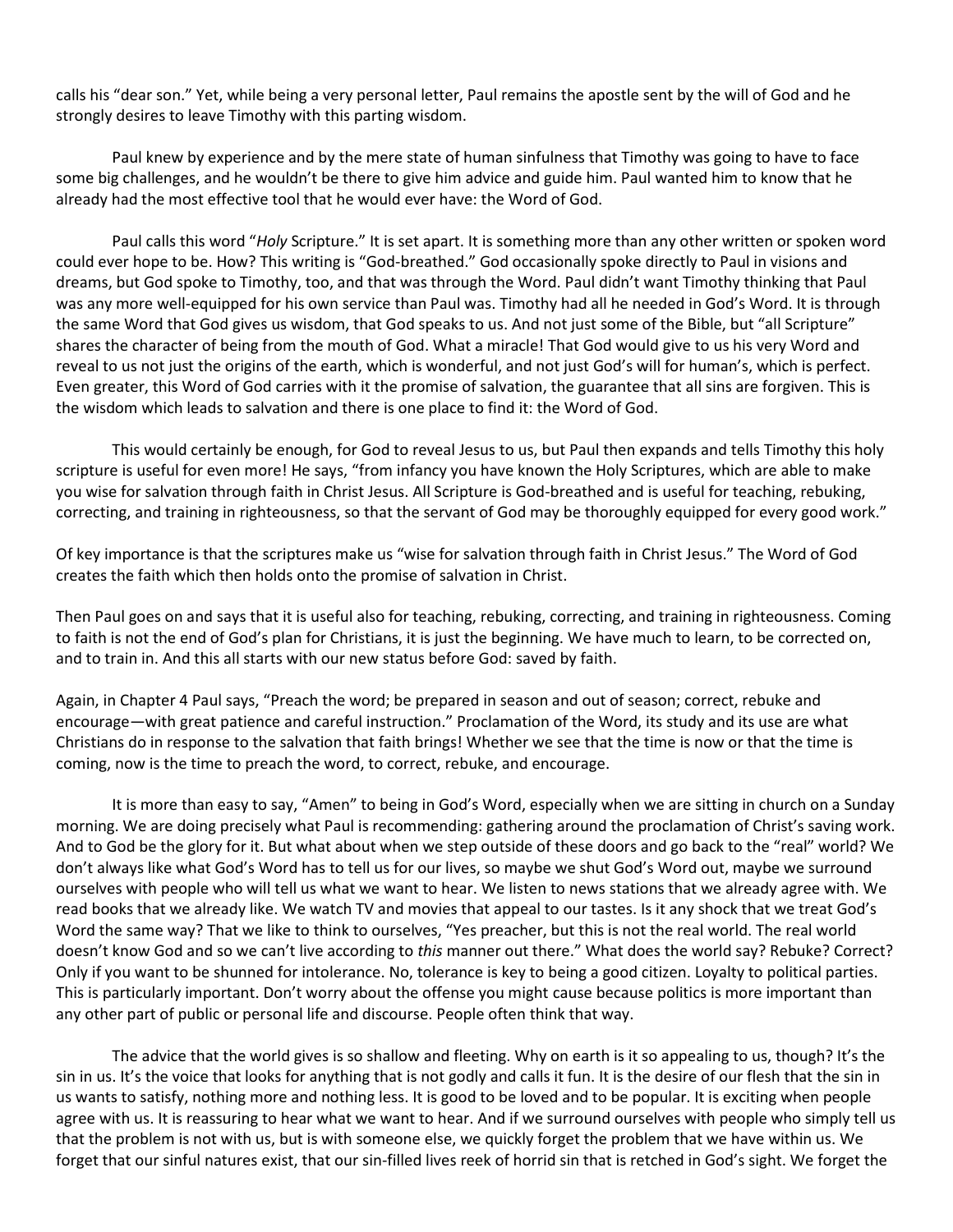calls his "dear son." Yet, while being a very personal letter, Paul remains the apostle sent by the will of God and he strongly desires to leave Timothy with this parting wisdom.

Paul knew by experience and by the mere state of human sinfulness that Timothy was going to have to face some big challenges, and he wouldn't be there to give him advice and guide him. Paul wanted him to know that he already had the most effective tool that he would ever have: the Word of God.

Paul calls this word "*Holy* Scripture." It is set apart. It is something more than any other written or spoken word could ever hope to be. How? This writing is "God-breathed." God occasionally spoke directly to Paul in visions and dreams, but God spoke to Timothy, too, and that was through the Word. Paul didn't want Timothy thinking that Paul was any more well-equipped for his own service than Paul was. Timothy had all he needed in God's Word. It is through the same Word that God gives us wisdom, that God speaks to us. And not just some of the Bible, but "all Scripture" shares the character of being from the mouth of God. What a miracle! That God would give to us his very Word and reveal to us not just the origins of the earth, which is wonderful, and not just God's will for human's, which is perfect. Even greater, this Word of God carries with it the promise of salvation, the guarantee that all sins are forgiven. This is the wisdom which leads to salvation and there is one place to find it: the Word of God.

This would certainly be enough, for God to reveal Jesus to us, but Paul then expands and tells Timothy this holy scripture is useful for even more! He says, "from infancy you have known the Holy Scriptures, which are able to make you wise for salvation through faith in Christ Jesus. All Scripture is God-breathed and is useful for teaching, rebuking, correcting, and training in righteousness, so that the servant of God may be thoroughly equipped for every good work."

Of key importance is that the scriptures make us "wise for salvation through faith in Christ Jesus." The Word of God creates the faith which then holds onto the promise of salvation in Christ.

Then Paul goes on and says that it is useful also for teaching, rebuking, correcting, and training in righteousness. Coming to faith is not the end of God's plan for Christians, it is just the beginning. We have much to learn, to be corrected on, and to train in. And this all starts with our new status before God: saved by faith.

Again, in Chapter 4 Paul says, "Preach the word; be prepared in season and out of season; correct, rebuke and encourage—with great patience and careful instruction." Proclamation of the Word, its study and its use are what Christians do in response to the salvation that faith brings! Whether we see that the time is now or that the time is coming, now is the time to preach the word, to correct, rebuke, and encourage.

It is more than easy to say, "Amen" to being in God's Word, especially when we are sitting in church on a Sunday morning. We are doing precisely what Paul is recommending: gathering around the proclamation of Christ's saving work. And to God be the glory for it. But what about when we step outside of these doors and go back to the "real" world? We don't always like what God's Word has to tell us for our lives, so maybe we shut God's Word out, maybe we surround ourselves with people who will tell us what we want to hear. We listen to news stations that we already agree with. We read books that we already like. We watch TV and movies that appeal to our tastes. Is it any shock that we treat God's Word the same way? That we like to think to ourselves, "Yes preacher, but this is not the real world. The real world doesn't know God and so we can't live according to *this* manner out there." What does the world say? Rebuke? Correct? Only if you want to be shunned for intolerance. No, tolerance is key to being a good citizen. Loyalty to political parties. This is particularly important. Don't worry about the offense you might cause because politics is more important than any other part of public or personal life and discourse. People often think that way.

The advice that the world gives is so shallow and fleeting. Why on earth is it so appealing to us, though? It's the sin in us. It's the voice that looks for anything that is not godly and calls it fun. It is the desire of our flesh that the sin in us wants to satisfy, nothing more and nothing less. It is good to be loved and to be popular. It is exciting when people agree with us. It is reassuring to hear what we want to hear. And if we surround ourselves with people who simply tell us that the problem is not with us, but is with someone else, we quickly forget the problem that we have within us. We forget that our sinful natures exist, that our sin-filled lives reek of horrid sin that is retched in God's sight. We forget the